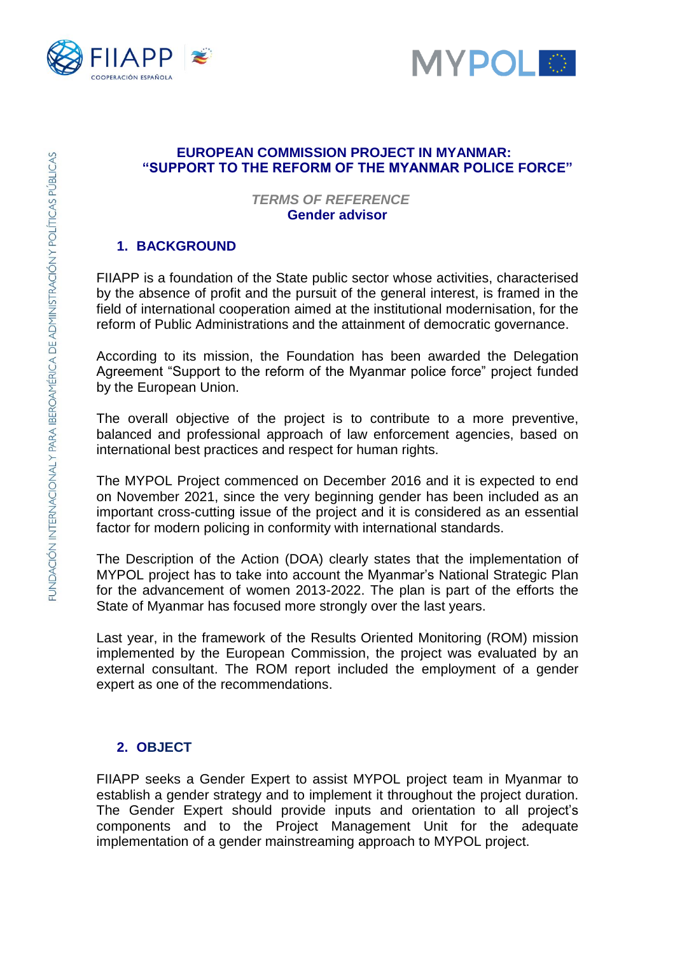



#### **EUROPEAN COMMISSION PROJECT IN MYANMAR: "SUPPORT TO THE REFORM OF THE MYANMAR POLICE FORCE"**

#### *TERMS OF REFERENCE* **Gender advisor**

## **1. BACKGROUND**

FIIAPP is a foundation of the State public sector whose activities, characterised by the absence of profit and the pursuit of the general interest, is framed in the field of international cooperation aimed at the institutional modernisation, for the reform of Public Administrations and the attainment of democratic governance.

According to its mission, the Foundation has been awarded the Delegation Agreement "Support to the reform of the Myanmar police force" project funded by the European Union.

The overall objective of the project is to contribute to a more preventive, balanced and professional approach of law enforcement agencies, based on international best practices and respect for human rights.

The MYPOL Project commenced on December 2016 and it is expected to end on November 2021, since the very beginning gender has been included as an important cross-cutting issue of the project and it is considered as an essential factor for modern policing in conformity with international standards.

The Description of the Action (DOA) clearly states that the implementation of MYPOL project has to take into account the Myanmar's National Strategic Plan for the advancement of women 2013-2022. The plan is part of the efforts the State of Myanmar has focused more strongly over the last years.

Last year, in the framework of the Results Oriented Monitoring (ROM) mission implemented by the European Commission, the project was evaluated by an external consultant. The ROM report included the employment of a gender expert as one of the recommendations.

## **2. OBJECT**

FIIAPP seeks a Gender Expert to assist MYPOL project team in Myanmar to establish a gender strategy and to implement it throughout the project duration. The Gender Expert should provide inputs and orientation to all project's components and to the Project Management Unit for the adequate implementation of a gender mainstreaming approach to MYPOL project.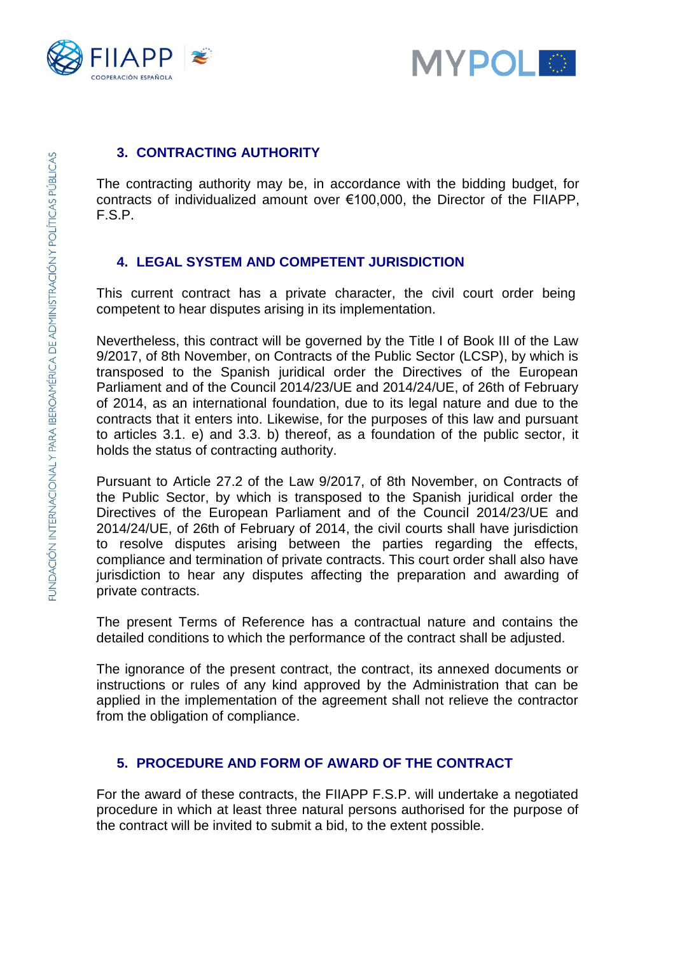



#### **3. CONTRACTING AUTHORITY**

The contracting authority may be, in accordance with the bidding budget, for contracts of individualized amount over €100,000, the Director of the FIIAPP, F.S.P.

#### **4. LEGAL SYSTEM AND COMPETENT JURISDICTION**

This current contract has a private character, the civil court order being competent to hear disputes arising in its implementation.

Nevertheless, this contract will be governed by the Title I of Book III of the Law 9/2017, of 8th November, on Contracts of the Public Sector (LCSP), by which is transposed to the Spanish juridical order the Directives of the European Parliament and of the Council 2014/23/UE and 2014/24/UE, of 26th of February of 2014, as an international foundation, due to its legal nature and due to the contracts that it enters into. Likewise, for the purposes of this law and pursuant to articles 3.1. e) and 3.3. b) thereof, as a foundation of the public sector, it holds the status of contracting authority.

Pursuant to Article 27.2 of the Law 9/2017, of 8th November, on Contracts of the Public Sector, by which is transposed to the Spanish juridical order the Directives of the European Parliament and of the Council 2014/23/UE and 2014/24/UE, of 26th of February of 2014, the civil courts shall have jurisdiction to resolve disputes arising between the parties regarding the effects, compliance and termination of private contracts. This court order shall also have jurisdiction to hear any disputes affecting the preparation and awarding of private contracts.

The present Terms of Reference has a contractual nature and contains the detailed conditions to which the performance of the contract shall be adjusted.

The ignorance of the present contract, the contract, its annexed documents or instructions or rules of any kind approved by the Administration that can be applied in the implementation of the agreement shall not relieve the contractor from the obligation of compliance.

#### **5. PROCEDURE AND FORM OF AWARD OF THE CONTRACT**

For the award of these contracts, the FIIAPP F.S.P. will undertake a negotiated procedure in which at least three natural persons authorised for the purpose of the contract will be invited to submit a bid, to the extent possible.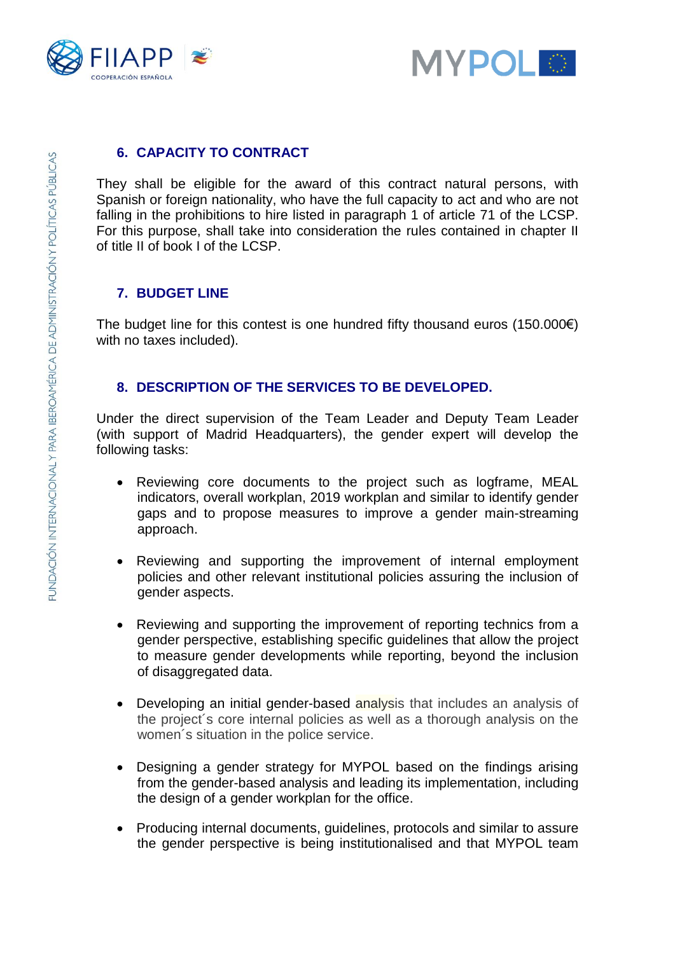



#### **6. CAPACITY TO CONTRACT**

They shall be eligible for the award of this contract natural persons, with Spanish or foreign nationality, who have the full capacity to act and who are not falling in the prohibitions to hire listed in paragraph 1 of article 71 of the LCSP. For this purpose, shall take into consideration the rules contained in chapter II of title II of book I of the LCSP.

#### **7. BUDGET LINE**

The budget line for this contest is one hundred fifty thousand euros  $(150.000\varepsilon)$ with no taxes included).

#### **8. DESCRIPTION OF THE SERVICES TO BE DEVELOPED.**

Under the direct supervision of the Team Leader and Deputy Team Leader (with support of Madrid Headquarters), the gender expert will develop the following tasks:

- Reviewing core documents to the project such as logframe, MEAL indicators, overall workplan, 2019 workplan and similar to identify gender gaps and to propose measures to improve a gender main-streaming approach.
- Reviewing and supporting the improvement of internal employment policies and other relevant institutional policies assuring the inclusion of gender aspects.
- Reviewing and supporting the improvement of reporting technics from a gender perspective, establishing specific guidelines that allow the project to measure gender developments while reporting, beyond the inclusion of disaggregated data.
- Developing an initial gender-based analysis that includes an analysis of the project´s core internal policies as well as a thorough analysis on the women´s situation in the police service.
- Designing a gender strategy for MYPOL based on the findings arising from the gender-based analysis and leading its implementation, including the design of a gender workplan for the office.
- Producing internal documents, guidelines, protocols and similar to assure the gender perspective is being institutionalised and that MYPOL team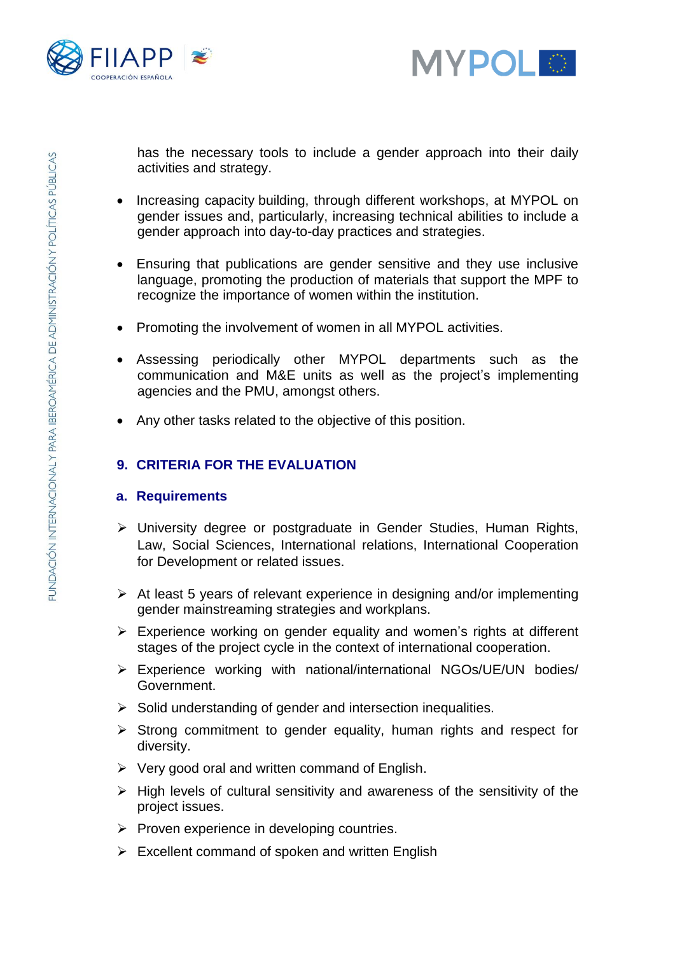



has the necessary tools to include a gender approach into their daily activities and strategy.

- Increasing capacity building, through different workshops, at MYPOL on gender issues and, particularly, increasing technical abilities to include a gender approach into day-to-day practices and strategies.
- Ensuring that publications are gender sensitive and they use inclusive language, promoting the production of materials that support the MPF to recognize the importance of women within the institution.
- Promoting the involvement of women in all MYPOL activities.
- Assessing periodically other MYPOL departments such as the communication and M&E units as well as the project's implementing agencies and the PMU, amongst others.
- Any other tasks related to the objective of this position.

## **9. CRITERIA FOR THE EVALUATION**

#### **a. Requirements**

- ➢ University degree or postgraduate in Gender Studies, Human Rights, Law, Social Sciences, International relations, International Cooperation for Development or related issues.
- ➢ At least 5 years of relevant experience in designing and/or implementing gender mainstreaming strategies and workplans.
- ➢ Experience working on gender equality and women's rights at different stages of the project cycle in the context of international cooperation.
- ➢ Experience working with national/international NGOs/UE/UN bodies/ Government.
- ➢ Solid understanding of gender and intersection inequalities.
- ➢ Strong commitment to gender equality, human rights and respect for diversity.
- $\triangleright$  Very good oral and written command of English.
- $\triangleright$  High levels of cultural sensitivity and awareness of the sensitivity of the project issues.
- $\triangleright$  Proven experience in developing countries.
- $\triangleright$  Excellent command of spoken and written English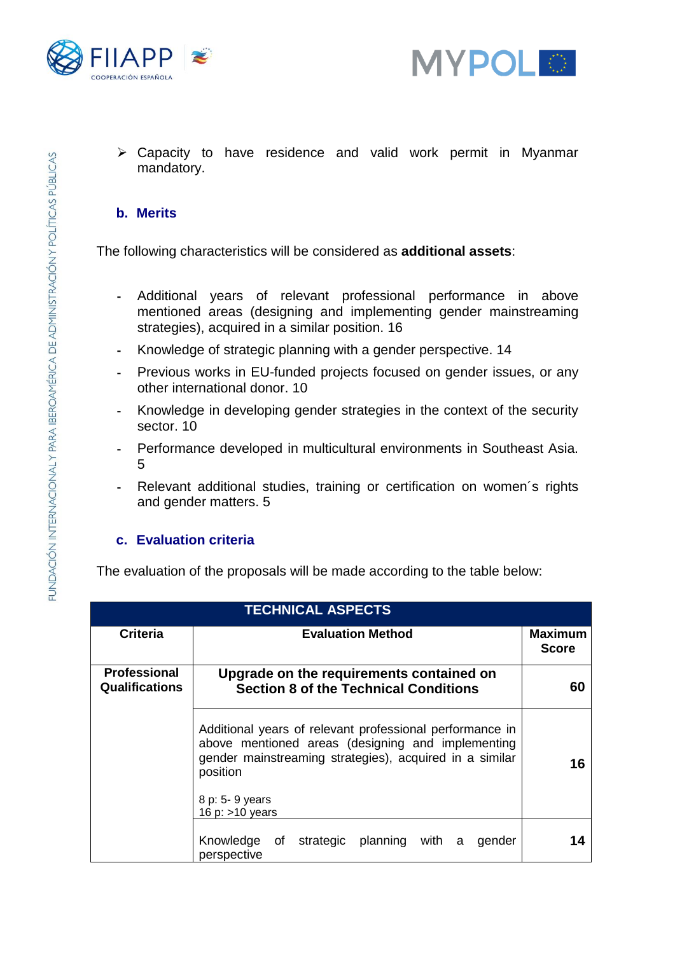



➢ Capacity to have residence and valid work permit in Myanmar mandatory.

#### **b. Merits**

The following characteristics will be considered as **additional assets**:

- Additional years of relevant professional performance in above mentioned areas (designing and implementing gender mainstreaming strategies), acquired in a similar position. 16
- Knowledge of strategic planning with a gender perspective. 14
- Previous works in EU-funded projects focused on gender issues, or any other international donor. 10
- Knowledge in developing gender strategies in the context of the security sector. 10
- Performance developed in multicultural environments in Southeast Asia. 5
- Relevant additional studies, training or certification on women´s rights and gender matters. 5

#### **c. Evaluation criteria**

The evaluation of the proposals will be made according to the table below:

| <b>TECHNICAL ASPECTS</b>                     |                                                                                                                                                                                                                              |                                |  |
|----------------------------------------------|------------------------------------------------------------------------------------------------------------------------------------------------------------------------------------------------------------------------------|--------------------------------|--|
| <b>Criteria</b>                              | <b>Evaluation Method</b>                                                                                                                                                                                                     | <b>Maximum</b><br><b>Score</b> |  |
| <b>Professional</b><br><b>Qualifications</b> | Upgrade on the requirements contained on<br><b>Section 8 of the Technical Conditions</b>                                                                                                                                     | 60                             |  |
|                                              | Additional years of relevant professional performance in<br>above mentioned areas (designing and implementing<br>gender mainstreaming strategies), acquired in a similar<br>position<br>8 p: 5- 9 years<br>16 p: $>10$ years | 16                             |  |
|                                              | Knowledge of strategic planning with a<br>gender<br>perspective                                                                                                                                                              |                                |  |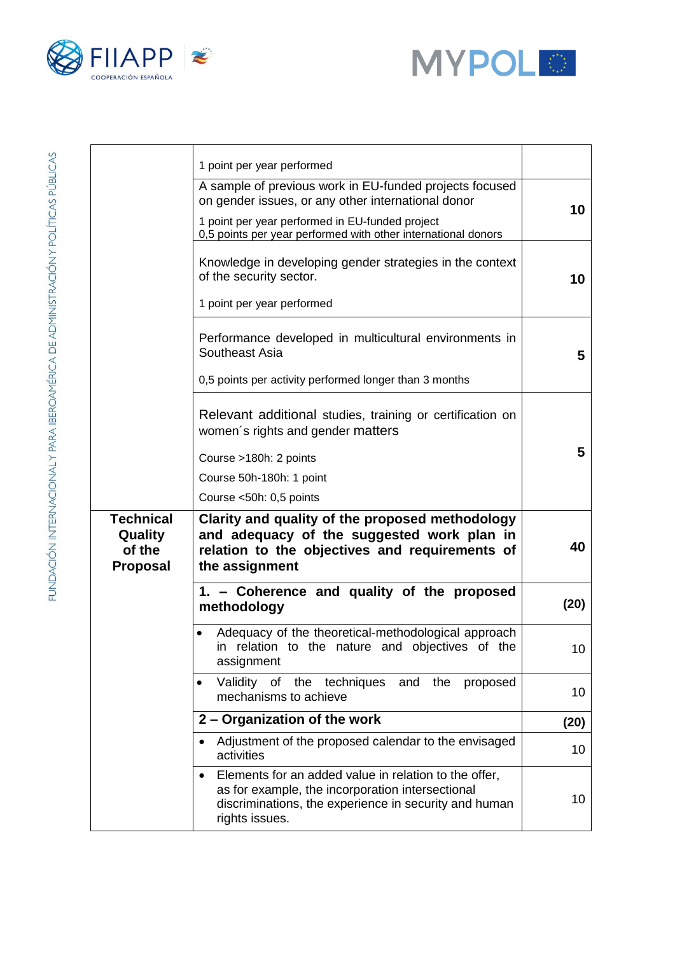



|                                                          | 1 point per year performed                                                                                                                                                           |      |
|----------------------------------------------------------|--------------------------------------------------------------------------------------------------------------------------------------------------------------------------------------|------|
|                                                          | A sample of previous work in EU-funded projects focused<br>on gender issues, or any other international donor<br>1 point per year performed in EU-funded project                     | 10   |
|                                                          | 0,5 points per year performed with other international donors<br>Knowledge in developing gender strategies in the context<br>of the security sector.<br>1 point per year performed   | 10   |
|                                                          | Performance developed in multicultural environments in<br>Southeast Asia<br>0,5 points per activity performed longer than 3 months                                                   | 5    |
|                                                          | Relevant additional studies, training or certification on<br>women's rights and gender matters<br>Course >180h: 2 points<br>Course 50h-180h: 1 point<br>Course <50h: 0,5 points      | 5    |
| <b>Technical</b><br>Quality<br>of the<br><b>Proposal</b> | Clarity and quality of the proposed methodology<br>and adequacy of the suggested work plan in<br>relation to the objectives and requirements of<br>the assignment                    | 40   |
|                                                          | 1. - Coherence and quality of the proposed<br>methodology                                                                                                                            | (20) |
|                                                          | Adequacy of the theoretical-methodological approach<br>in relation to the nature and objectives of the<br>assignment                                                                 | 10   |
|                                                          | Validity of<br>the<br>techniques<br>and<br>the<br>proposed<br>$\bullet$<br>mechanisms to achieve                                                                                     | 10   |
|                                                          | 2 - Organization of the work                                                                                                                                                         | (20) |
|                                                          | Adjustment of the proposed calendar to the envisaged<br>$\bullet$<br>activities                                                                                                      | 10   |
|                                                          | Elements for an added value in relation to the offer,<br>as for example, the incorporation intersectional<br>discriminations, the experience in security and human<br>rights issues. | 10   |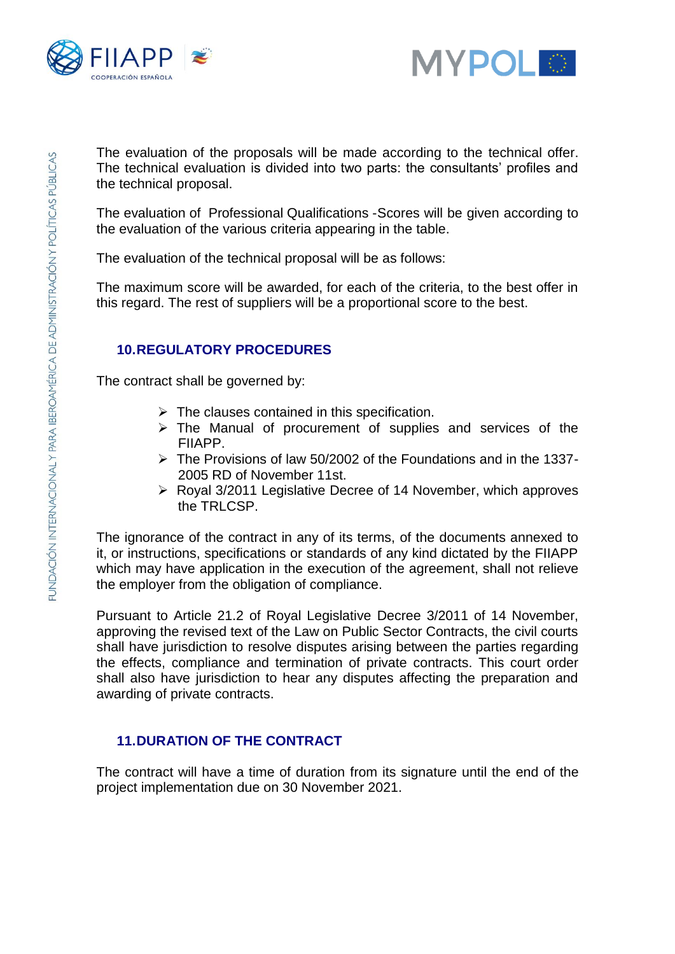



The evaluation of the proposals will be made according to the technical offer. The technical evaluation is divided into two parts: the consultants' profiles and the technical proposal.

The evaluation of Professional Qualifications -Scores will be given according to the evaluation of the various criteria appearing in the table.

The evaluation of the technical proposal will be as follows:

The maximum score will be awarded, for each of the criteria, to the best offer in this regard. The rest of suppliers will be a proportional score to the best.

## **10.REGULATORY PROCEDURES**

The contract shall be governed by:

- $\triangleright$  The clauses contained in this specification.
- $\triangleright$  The Manual of procurement of supplies and services of the FIIAPP.
- $\triangleright$  The Provisions of law 50/2002 of the Foundations and in the 1337-2005 RD of November 11st.
- ➢ Royal 3/2011 Legislative Decree of 14 November, which approves the TRI CSP

The ignorance of the contract in any of its terms, of the documents annexed to it, or instructions, specifications or standards of any kind dictated by the FIIAPP which may have application in the execution of the agreement, shall not relieve the employer from the obligation of compliance.

Pursuant to Article 21.2 of Royal Legislative Decree 3/2011 of 14 November, approving the revised text of the Law on Public Sector Contracts, the civil courts shall have jurisdiction to resolve disputes arising between the parties regarding the effects, compliance and termination of private contracts. This court order shall also have jurisdiction to hear any disputes affecting the preparation and awarding of private contracts.

## **11.DURATION OF THE CONTRACT**

The contract will have a time of duration from its signature until the end of the project implementation due on 30 November 2021.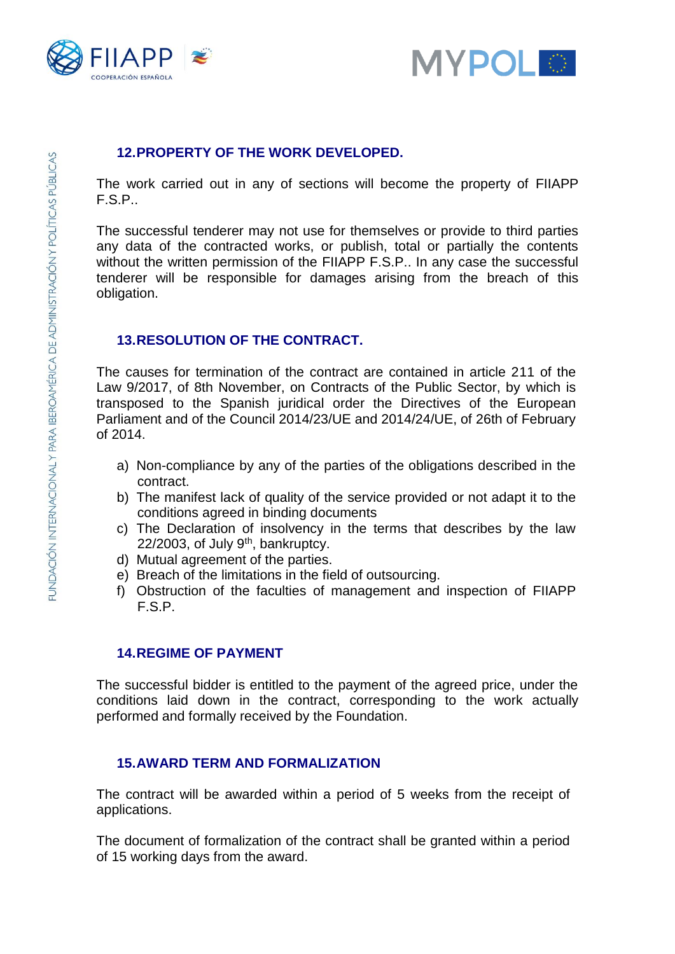



#### **12.PROPERTY OF THE WORK DEVELOPED.**

The work carried out in any of sections will become the property of FIIAPP F.S.P..

The successful tenderer may not use for themselves or provide to third parties any data of the contracted works, or publish, total or partially the contents without the written permission of the FIIAPP F.S.P.. In any case the successful tenderer will be responsible for damages arising from the breach of this obligation.

#### **13.RESOLUTION OF THE CONTRACT.**

The causes for termination of the contract are contained in article 211 of the Law 9/2017, of 8th November, on Contracts of the Public Sector, by which is transposed to the Spanish juridical order the Directives of the European Parliament and of the Council 2014/23/UE and 2014/24/UE, of 26th of February of 2014.

- a) Non-compliance by any of the parties of the obligations described in the contract.
- b) The manifest lack of quality of the service provided or not adapt it to the conditions agreed in binding documents
- c) The Declaration of insolvency in the terms that describes by the law  $22/2003$ , of July 9<sup>th</sup>, bankruptcy.
- d) Mutual agreement of the parties.
- e) Breach of the limitations in the field of outsourcing.
- f) Obstruction of the faculties of management and inspection of FIIAPP F.S.P.

#### **14.REGIME OF PAYMENT**

The successful bidder is entitled to the payment of the agreed price, under the conditions laid down in the contract, corresponding to the work actually performed and formally received by the Foundation.

#### **15.AWARD TERM AND FORMALIZATION**

The contract will be awarded within a period of 5 weeks from the receipt of applications.

The document of formalization of the contract shall be granted within a period of 15 working days from the award.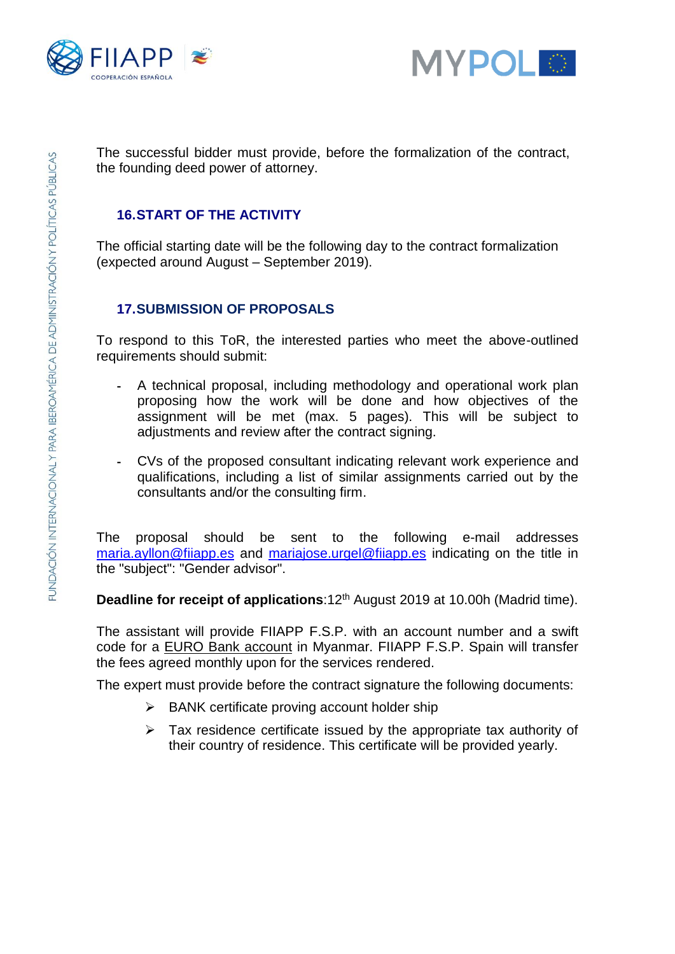



The successful bidder must provide, before the formalization of the contract, the founding deed power of attorney.

#### **16.START OF THE ACTIVITY**

The official starting date will be the following day to the contract formalization (expected around August – September 2019).

## **17.SUBMISSION OF PROPOSALS**

To respond to this ToR, the interested parties who meet the above-outlined requirements should submit:

- A technical proposal, including methodology and operational work plan proposing how the work will be done and how objectives of the assignment will be met (max. 5 pages). This will be subject to adjustments and review after the contract signing.
- CVs of the proposed consultant indicating relevant work experience and qualifications, including a list of similar assignments carried out by the consultants and/or the consulting firm.

The proposal should be sent to the following e-mail addresses [maria.ayllon@fiiapp.es](mailto:maria.ayllon@fiiapp.es) and [mariajose.urgel@fiiapp.es](mailto:mariajose.urgel@fiiapp.es) indicating on the title in the "subject": "Gender advisor".

**Deadline for receipt of applications**:12<sup>th</sup> August 2019 at 10.00h (Madrid time).

The assistant will provide FIIAPP F.S.P. with an account number and a swift code for a EURO Bank account in Myanmar. FIIAPP F.S.P. Spain will transfer the fees agreed monthly upon for the services rendered.

The expert must provide before the contract signature the following documents:

- ➢ BANK certificate proving account holder ship
- $\triangleright$  Tax residence certificate issued by the appropriate tax authority of their country of residence. This certificate will be provided yearly.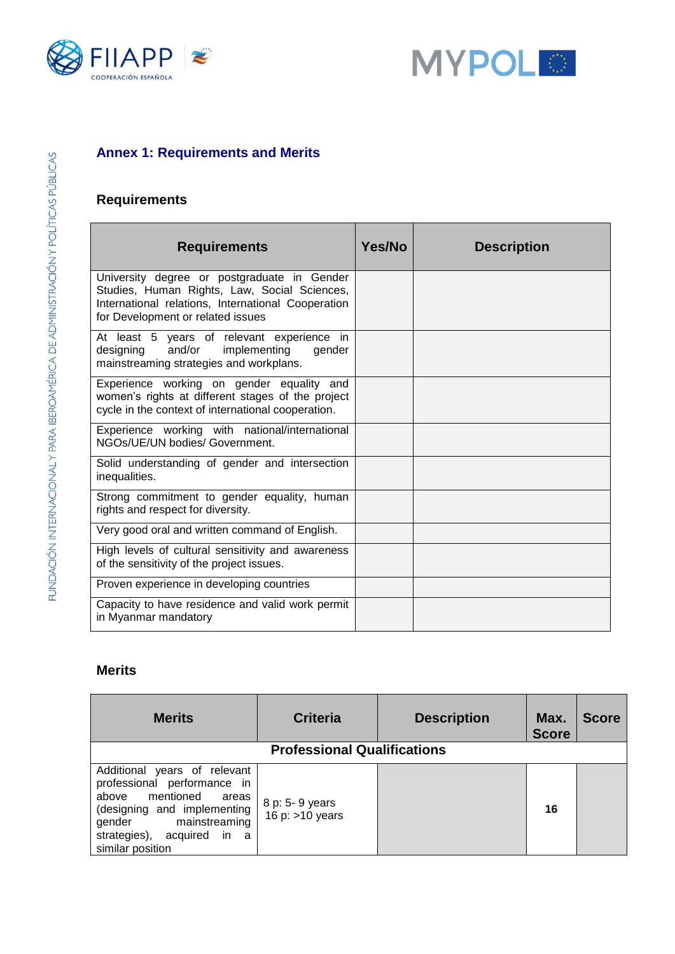



## **Annex 1: Requirements and Merits**

# **Requirements**

| <b>Requirements</b>                                                                                                                                                                    | Yes/No | <b>Description</b> |
|----------------------------------------------------------------------------------------------------------------------------------------------------------------------------------------|--------|--------------------|
| University degree or postgraduate in Gender<br>Studies, Human Rights, Law, Social Sciences,<br>International relations, International Cooperation<br>for Development or related issues |        |                    |
| At least 5 years of relevant experience in<br>and/or<br>implementing<br>designing<br>gender<br>mainstreaming strategies and workplans.                                                 |        |                    |
| Experience working on gender equality and<br>women's rights at different stages of the project<br>cycle in the context of international cooperation.                                   |        |                    |
| Experience working with national/international<br>NGOs/UE/UN bodies/ Government.                                                                                                       |        |                    |
| Solid understanding of gender and intersection<br>inequalities.                                                                                                                        |        |                    |
| Strong commitment to gender equality, human<br>rights and respect for diversity.                                                                                                       |        |                    |
| Very good oral and written command of English.                                                                                                                                         |        |                    |
| High levels of cultural sensitivity and awareness<br>of the sensitivity of the project issues.                                                                                         |        |                    |
| Proven experience in developing countries                                                                                                                                              |        |                    |
| Capacity to have residence and valid work permit<br>in Myanmar mandatory                                                                                                               |        |                    |

## **Merits**

| <b>Merits</b>                                                                                                                                                                                             | <b>Criteria</b>                      | <b>Description</b> | Max.<br><b>Score</b> | <b>Score</b> |
|-----------------------------------------------------------------------------------------------------------------------------------------------------------------------------------------------------------|--------------------------------------|--------------------|----------------------|--------------|
| <b>Professional Qualifications</b>                                                                                                                                                                        |                                      |                    |                      |              |
| Additional years of relevant<br>professional performance in<br>mentioned<br>above<br>areas<br>(designing and implementing<br>gender mainstreaming<br>strategies),<br>acquired<br>in a<br>similar position | 8 p: 5- 9 years<br>16 p: $>10$ years |                    | 16                   |              |